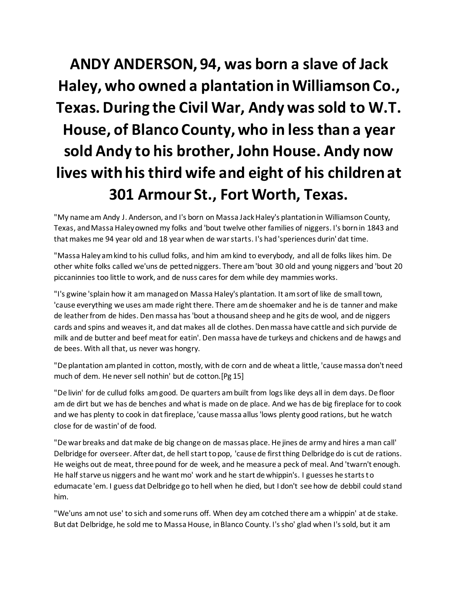## **ANDY ANDERSON, 94, was born a slave of Jack Haley, who owned a plantation in Williamson Co., Texas. During the Civil War, Andy was sold to W.T. House, of Blanco County, who in less than a year sold Andy to his brother, John House. Andy now lives with his third wife and eight of his children at 301 Armour St., Fort Worth, Texas.**

"My name am Andy J. Anderson, and I's born on Massa Jack Haley's plantation in Williamson County, Texas, and Massa Haley owned my folks and 'bout twelve other families of niggers. I's born in 1843 and that makes me 94 year old and 18 year when de war starts. I's had 'speriences durin' dat time.

"Massa Haley am kind to his cullud folks, and him am kind to everybody, and all de folks likes him. De other white folks called we'uns de petted niggers. There am 'bout 30 old and young niggers and 'bout 20 piccaninnies too little to work, and de nuss cares for dem while dey mammies works.

"I's gwine 'splain how it am managed on Massa Haley's plantation. It am sort of like de small town, 'cause everything we uses am made right there. There am de shoemaker and he is de tanner and make de leather from de hides. Den massa has 'bout a thousand sheep and he gits de wool, and de niggers cards and spins and weaves it, and dat makes all de clothes. Den massa have cattle and sich purvide de milk and de butter and beef meat for eatin'. Den massa have de turkeys and chickens and de hawgs and de bees. With all that, us never was hongry.

"De plantation am planted in cotton, mostly, with de corn and de wheat a little, 'cause massa don't need much of dem. He never sell nothin' but de cotton.[Pg 15]

"De livin' for de cullud folks am good. De quarters am built from logs like deys all in dem days. De floor am de dirt but we has de benches and what is made on de place. And we has de big fireplace for to cook and we has plenty to cook in dat fireplace, 'cause massa allus 'lows plenty good rations, but he watch close for de wastin' of de food.

"De war breaks and dat make de big change on de massas place. He jines de army and hires a man call' Delbridge for overseer. After dat, de hell start to pop, 'cause de first thing Delbridge do is cut de rations. He weighs out de meat, three pound for de week, and he measure a peck of meal. And 'twarn't enough. He half starve us niggers and he want mo' work and he start de whippin's. I guesses he starts to edumacate 'em. I guess dat Delbridge go to hell when he died, but I don't see how de debbil could stand him.

"We'uns am not use' to sich and some runs off. When dey am cotched there am a whippin' at de stake. But dat Delbridge, he sold me to Massa House, in Blanco County. I's sho' glad when I's sold, but it am